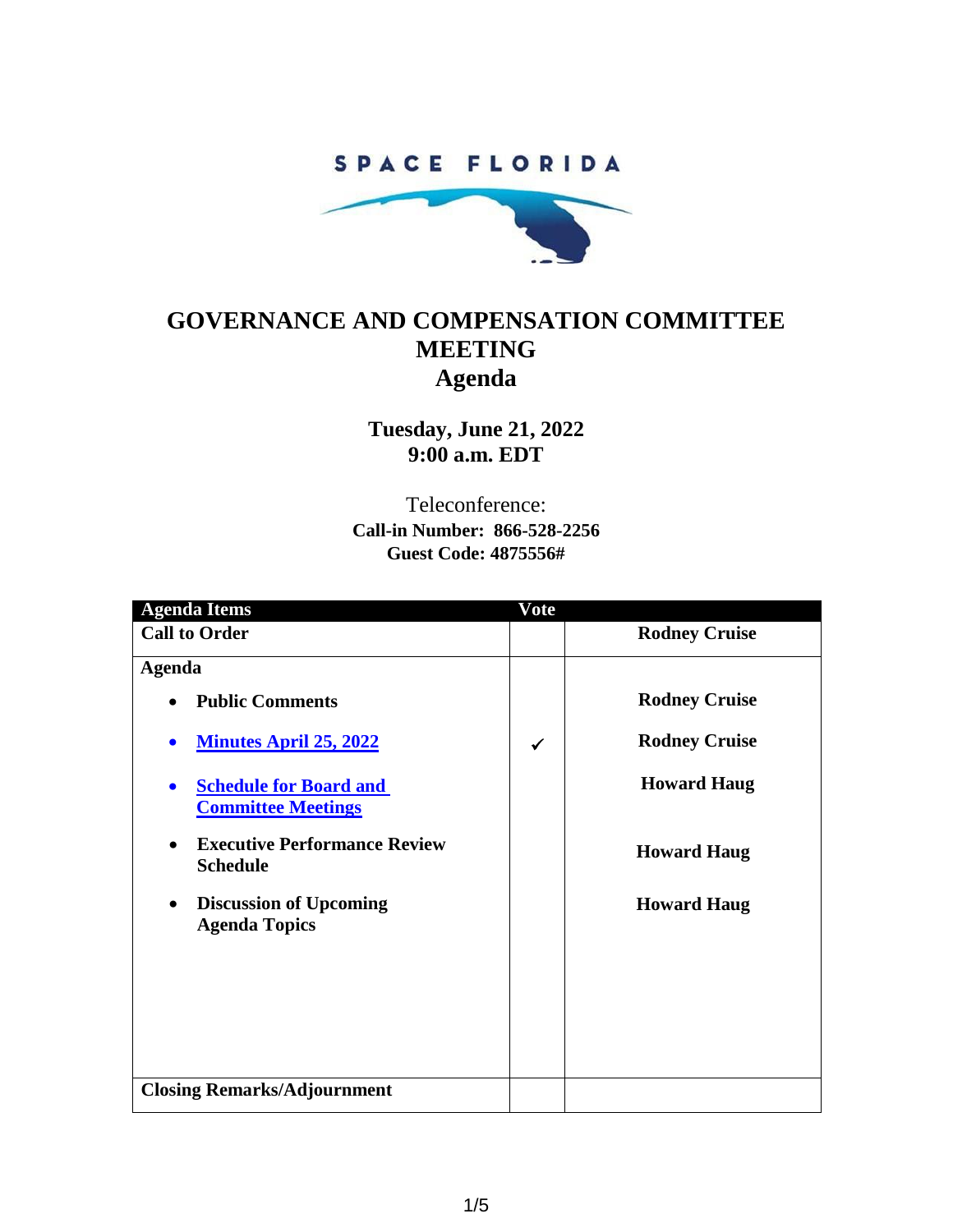### SPACE FLORIDA



## **GOVERNANCE AND COMPENSATION COMMITTEE MEETING Agenda**

**Tuesday, June 21, 2022 9:00 a.m. EDT**

Teleconference: **Call-in Number: 866-528-2256 Guest Code: 4875556#**

| <b>Agenda Items</b>                                                     | Vote         |                      |
|-------------------------------------------------------------------------|--------------|----------------------|
| <b>Call to Order</b>                                                    |              | <b>Rodney Cruise</b> |
| <b>Agenda</b>                                                           |              |                      |
| <b>Public Comments</b><br>$\bullet$                                     |              | <b>Rodney Cruise</b> |
| <b>Minutes April 25, 2022</b>                                           | $\checkmark$ | <b>Rodney Cruise</b> |
| <b>Schedule for Board and</b><br>$\bullet$<br><b>Committee Meetings</b> |              | <b>Howard Haug</b>   |
| <b>Executive Performance Review</b><br>$\bullet$<br><b>Schedule</b>     |              | <b>Howard Haug</b>   |
| <b>Discussion of Upcoming</b><br>$\bullet$<br><b>Agenda Topics</b>      |              | <b>Howard Haug</b>   |
|                                                                         |              |                      |
|                                                                         |              |                      |
|                                                                         |              |                      |
| <b>Closing Remarks/Adjournment</b>                                      |              |                      |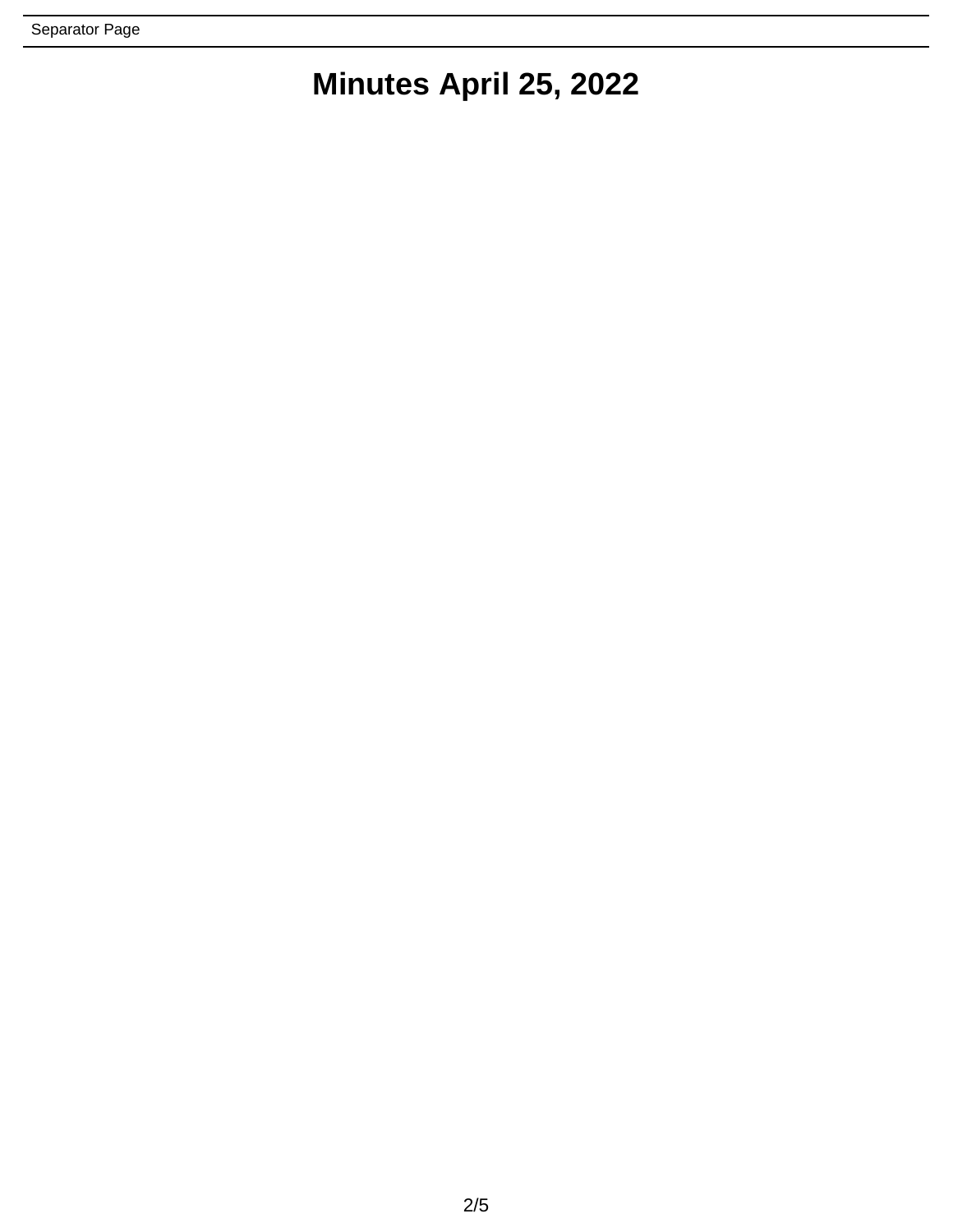# **Minutes April 25, 2022**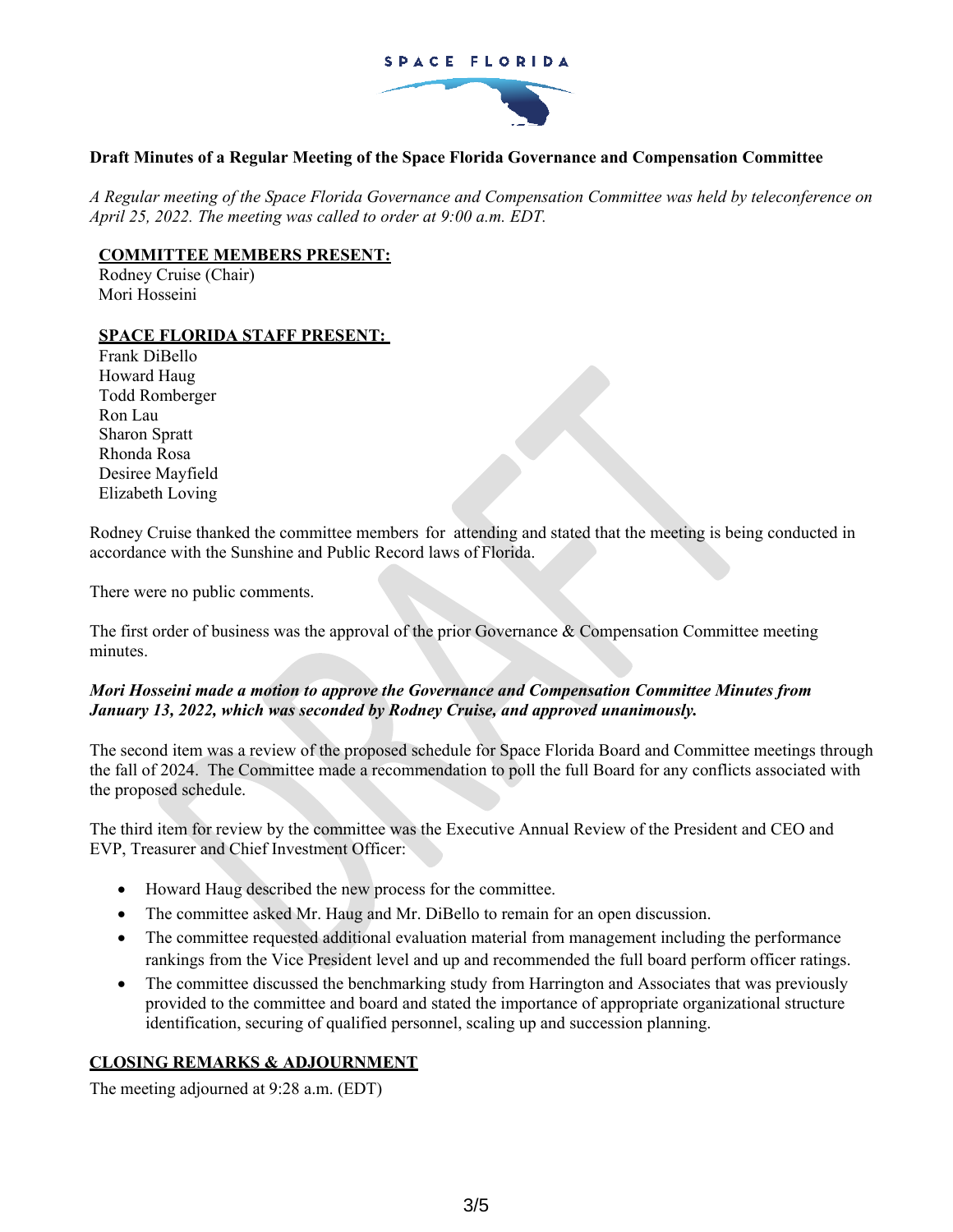#### SPACE FLORIDA



#### **Draft Minutes of a Regular Meeting of the Space Florida Governance and Compensation Committee**

*A Regular meeting of the Space Florida Governance and Compensation Committee was held by teleconference on April 25, 2022. The meeting was called to order at 9:00 a.m. EDT.*

#### **COMMITTEE MEMBERS PRESENT:**

Rodney Cruise (Chair) Mori Hosseini

#### **SPACE FLORIDA STAFF PRESENT:**

Frank DiBello Howard Haug Todd Romberger Ron Lau Sharon Spratt Rhonda Rosa Desiree Mayfield Elizabeth Loving

Rodney Cruise thanked the committee members for attending and stated that the meeting is being conducted in accordance with the Sunshine and Public Record laws of Florida.

There were no public comments.

The first order of business was the approval of the prior Governance & Compensation Committee meeting minutes.

#### *Mori Hosseini made a motion to approve the Governance and Compensation Committee Minutes from January 13, 2022, which was seconded by Rodney Cruise, and approved unanimously.*

The second item was a review of the proposed schedule for Space Florida Board and Committee meetings through the fall of 2024. The Committee made a recommendation to poll the full Board for any conflicts associated with the proposed schedule.

The third item for review by the committee was the Executive Annual Review of the President and CEO and EVP, Treasurer and Chief Investment Officer:

- Howard Haug described the new process for the committee.
- The committee asked Mr. Haug and Mr. DiBello to remain for an open discussion.
- The committee requested additional evaluation material from management including the performance rankings from the Vice President level and up and recommended the full board perform officer ratings.
- The committee discussed the benchmarking study from Harrington and Associates that was previously provided to the committee and board and stated the importance of appropriate organizational structure identification, securing of qualified personnel, scaling up and succession planning.

#### **CLOSING REMARKS & ADJOURNMENT**

The meeting adjourned at 9:28 a.m. (EDT)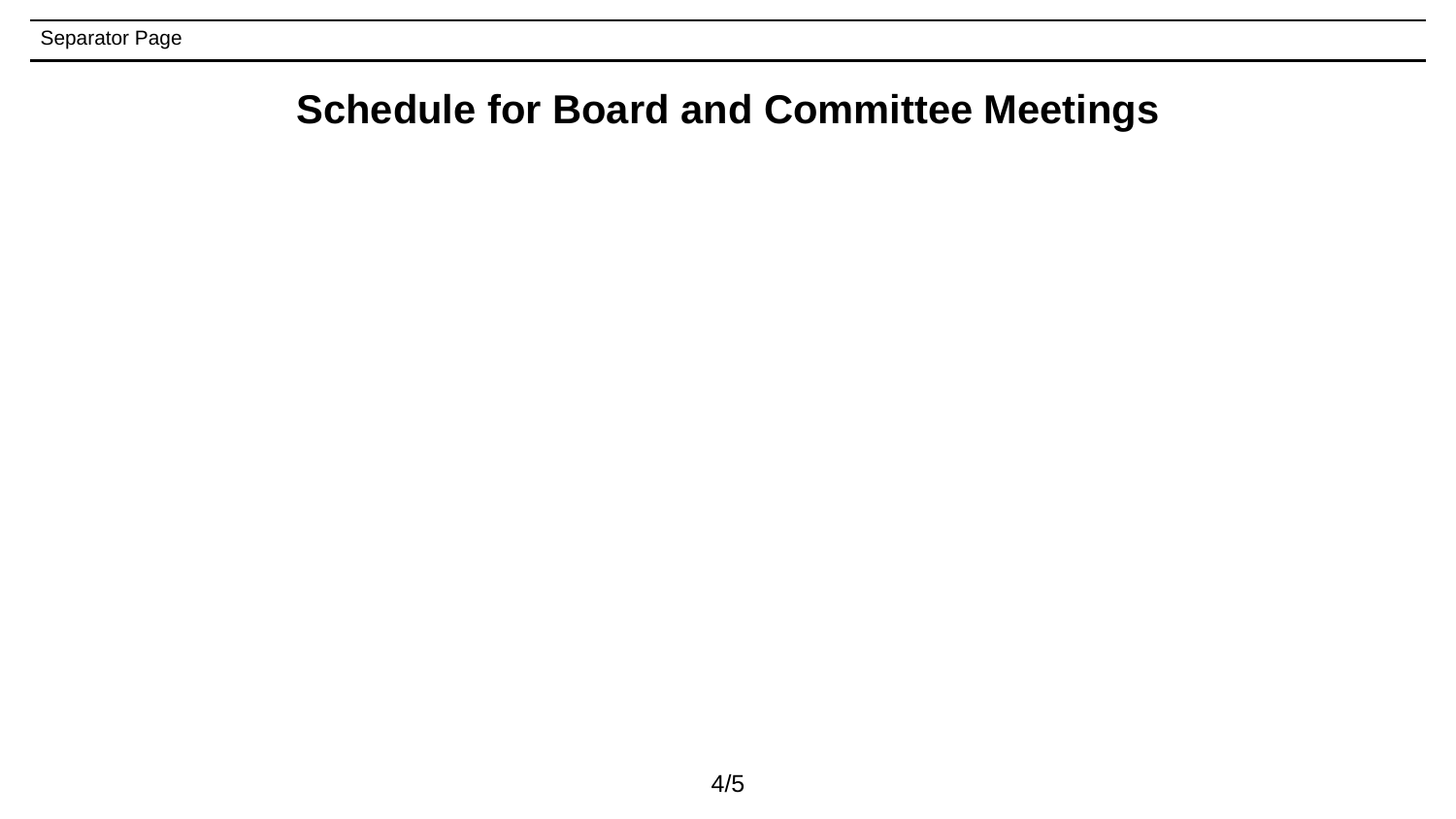# **Schedule for Board and Committee Meetings**